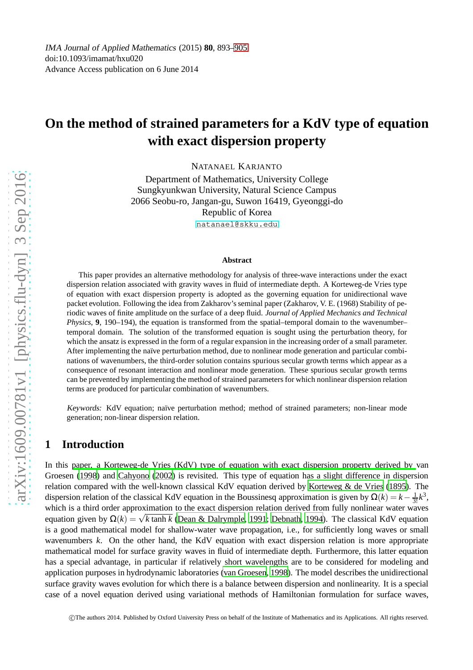# **On the method of strained parameters for a KdV type of equation with exact dispersion property**

NATANAEL KARJANTO

Department of Mathematics, University College Sungkyunkwan University, Natural Science Campus 2066 Seobu-ro, Jangan-gu, Suwon 16419, Gyeonggi-do Republic of Korea <natanael@skku.edu>

#### **Abstract**

This paper provides an alternative methodology for analysis of three-wave interactions under the exact dispersion relation associated with gravity waves in fluid of intermediate depth. A Korteweg-de Vries type of equation with exact dispersion property is adopted as the governing equation for unidirectional wave packet evolution. Following the idea from Zakharov's seminal paper (Zakharov, V. E. (1968) Stability of periodic waves of finite amplitude on the surface of a deep fluid. *Journal of Applied Mechanics and Technical Physics*, **9**, 190–194), the equation is transformed from the spatial–temporal domain to the wavenumber– temporal domain. The solution of the transformed equation is sought using the perturbation theory, for which the ansatz is expressed in the form of a regular expansion in the increasing order of a small parameter. After implementing the naïve perturbation method, due to nonlinear mode generation and particular combinations of wavenumbers, the third-order solution contains spurious secular growth terms which appear as a consequence of resonant interaction and nonlinear mode generation. These spurious secular growth terms can be prevented by implementing the method of strained parameters for which nonlinear dispersion relation terms are produced for particular combination of wavenumbers.

Keywords: KdV equation; naïve perturbation method; method of strained parameters; non-linear mode generation; non-linear dispersion relation.

### **1 Introduction**

In this [paper, a Korteweg-de Vries \(KdV\) type of equation with exact dispersion property derived by](#page-11-0) van Groesen [\(1998\)](#page-11-0) and [Cahyono \(2002\)](#page-9-0) is revisited. This type of equation has a slight difference in dispersion relation compared with the well-known classical KdV equation derived by [Korteweg & de Vries \(1895\)](#page-10-0). The dispersion relation of the classical KdV equation in the Boussinesq approximation is given by  $\Omega(k) = k - \frac{1}{3!}k^3$ , which is a third order approximation to the exact dispersion relation derived from fully nonlinear water waves equation given by  $\Omega(k) = \sqrt{k \tanh k}$  [\(Dean & Dalrymple, 1991](#page-9-1); [Debnath](#page-9-2), [1994](#page-9-2)). The classical KdV equation is a good mathematical model for shallow-water wave propagation, i.e., for sufficiently long waves or small wavenumbers *k*. On the other hand, the KdV equation with exact dispersion relation is more appropriate mathematical model for surface gravity waves in fluid of intermediate depth. Furthermore, this latter equation has a special advantage, in particular if relatively short wavelengths are to be considered for modeling and application purposes in hydrodynamic laboratories [\(van Groesen](#page-11-0), [1998\)](#page-11-0). The model describes the unidirectional surface gravity waves evolution for which there is a balance between dispersion and nonlinearity. It is a special case of a novel equation derived using variational methods of Hamiltonian formulation for surface waves,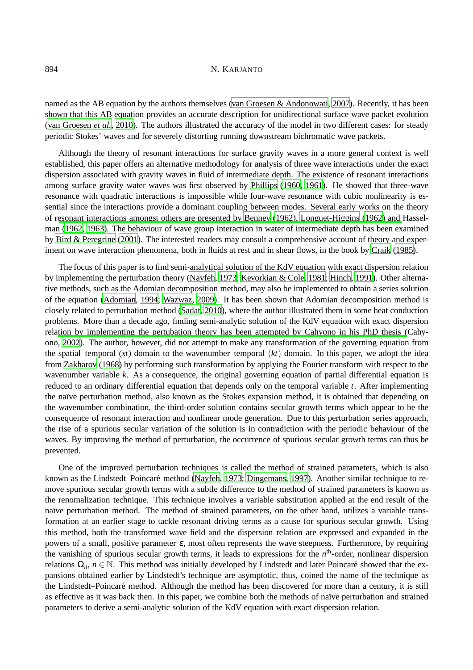named as the AB equation by the authors themselves [\(van Groesen & Andonowati, 2007\)](#page-11-1). Recently, it has been shown that this AB equation provides an accurate description for unidirectional surface wave packet evolution [\(van Groesen](#page-11-2) *et al.*, [2010](#page-11-2)). The authors illustrated the accuracy of the model in two different cases: for steady periodic Stokes' waves and for severely distorting running downstream bichromatic wave packets.

Although the theory of resonant interactions for surface gravity waves in a more general context is well established, this paper offers an alternative methodology for analysis of three wave interactions under the exact dispersion associated with gravity waves in fluid of intermediate depth. The existence of resonant interactions among surface gravity water waves was first observed by [Phillips \(1960,](#page-11-3) [1961\)](#page-11-4). He showed that three-wave resonance with quadratic interactions is impossible while four-wave resonance with cubic nonlinearity is essential since the interactions provide a dominant coupling between modes. Several early works on the theory of r[esonant interactions amongst others are presented by](#page-10-2) [Benney](#page-9-3)[\(1962\)](#page-9-3)[,](#page-10-2) [Longuet-Higgins \(1962](#page-10-1)[\) and](#page-10-2) Hasselman [\(1962](#page-10-2), [1963\)](#page-10-3). The behaviour of wave group interaction in water of intermediate depth has been examined by [Bird & Peregrine](#page-9-4) [\(2001](#page-9-4)). The interested readers may consult a comprehensive account of theory and experiment on wave interaction phenomena, both in fluids at rest and in shear flows, in the book by [Craik \(1985\)](#page-9-5).

The focus of this paper is to find semi-analytical solution of the KdV equation with exact dispersion relation by implementing the perturbation theory [\(Nayfeh, 1973;](#page-11-5) [Kevorkian & Cole, 1981;](#page-10-4) [Hinch, 1991\)](#page-10-5). Other alternative methods, such as the Adomian decomposition method, may also be implemented to obtain a series solution of the equation [\(Adomian, 1994;](#page-9-6) [Wazwaz, 2009](#page-11-6)). It has been shown that Adomian decomposition method is closely related to perturbation method [\(Sadat, 2010\)](#page-11-7), where the author illustrated them in some heat conduction problems. More than a decade ago, finding semi-analytic solution of the KdV equation with exact dispersion rela[tion by implementing the pertubation theory has been attempted by Cahyono in his PhD thesis \(](#page-9-0)Cahyono, [2002](#page-9-0)). The author, however, did not attempt to make any transformation of the governing equation from the spatial–temporal (*xt*) domain to the wavenumber–temporal (*kt*) domain. In this paper, we adopt the idea from [Zakharov \(1968\)](#page-12-1) by performing such transformation by applying the Fourier transform with respect to the wavenumber variable *k*. As a consequence, the original governing equation of partial differential equation is reduced to an ordinary differential equation that depends only on the temporal variable *t*. After implementing the naïve perturbation method, also known as the Stokes expansion method, it is obtained that depending on the wavenumber combination, the third-order solution contains secular growth terms which appear to be the consequence of resonant interaction and nonlinear mode generation. Due to this perturbation series approach, the rise of a spurious secular variation of the solution is in contradiction with the periodic behaviour of the waves. By improving the method of perturbation, the occurrence of spurious secular growth terms can thus be prevented.

One of the improved perturbation techniques is called the method of strained parameters, which is also known as the Lindstedt–Poincaré method [\(Nayfeh, 1973](#page-11-5); [Dingemans, 1997](#page-9-7)). Another similar technique to remove spurious secular growth terms with a subtle difference to the method of strained parameters is known as the renomalization technique. This technique involves a variable substitution applied at the end result of the naïve perturbation method. The method of strained parameters, on the other hand, utilizes a variable transformation at an earlier stage to tackle resonant driving terms as a cause for spurious secular growth. Using this method, both the transformed wave field and the dispersion relation are expressed and expanded in the powers of a small, positive parameter  $\varepsilon$ , most often represents the wave steepness. Furthermore, by requiring the vanishing of spurious secular growth terms, it leads to expressions for the *n*<sup>th</sup>-order, nonlinear dispersion relations  $\Omega_n$ ,  $n \in \mathbb{N}$ . This method was initially developed by Lindstedt and later Poincaré showed that the expansions obtained earlier by Lindstedt's technique are asymptotic, thus, coined the name of the technique as the Lindstedt–Poincaré method. Although the method has been discovered for more than a century, it is still as effective as it was back then. In this paper, we combine both the methods of naïve perturbation and strained parameters to derive a semi-analytic solution of the KdV equation with exact dispersion relation.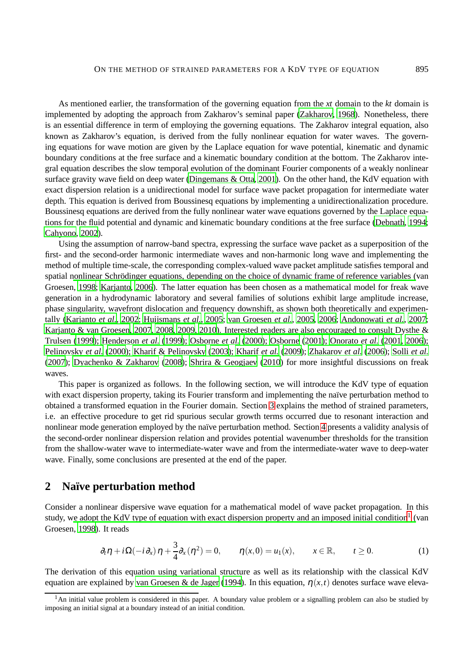As mentioned earlier, the transformation of the governing equation from the *xt* domain to the *kt* domain is implemented by adopting the approach from Zakharov's seminal paper [\(Zakharov, 1968](#page-12-1)). Nonetheless, there is an essential difference in term of employing the governing equations. The Zakharov integral equation, also known as Zakharov's equation, is derived from the fully nonlinear equation for water waves. The governing equations for wave motion are given by the Laplace equation for wave potential, kinematic and dynamic boundary conditions at the free surface and a kinematic boundary condition at the bottom. The Zakharov integral equation describes the slow temporal evolution of the dominant Fourier components of a weakly nonlinear surface gravity wave field on deep water [\(Dingemans & Otta, 2001\)](#page-9-8). On the other hand, the KdV equation with exact dispersion relation is a unidirectional model for surface wave packet propagation for intermediate water depth. This equation is derived from Boussinesq equations by implementing a unidirectionalization procedure. Boussinesq equations are derived from the fully nonlinear water wave equations governed by the Laplace equations for the fluid potential and dynamic and kinematic boundary conditions at the free surface [\(Debnath, 1994;](#page-9-2) [Cahyono, 2002](#page-9-0)).

Using the assumption of narrow-band spectra, expressing the surface wave packet as a superposition of the first- and the second-order harmonic intermediate waves and non-harmonic long wave and implementing the method of multiple time-scale, the corresponding complex-valued wave packet amplitude satisfies temporal and spatial nonlinear Schrödinger equations, depending on the choice of dynamic frame of reference variables (van Groesen, [1998](#page-11-0); [Karjanto, 2006](#page-10-6)). The latter equation has been chosen as a mathematical model for freak wave generation in a hydrodynamic laboratory and several families of solutions exhibit large amplitude increase, phase singularity, wavefront dislocation and frequency downshift, as shown both theoretically and experimentally [\(Karjanto](#page-10-7) *et al.*, [2002](#page-10-7); [Huijsmans](#page-10-8) *et al.*, [2005](#page-10-8); [van Groesen](#page-11-8) *et al.*, [2005](#page-11-8), [2006;](#page-11-9) [Andonowati](#page-9-9) *et al.*, [2007;](#page-9-9) [Karjanto & van Groesen](#page-10-9)[,](#page-9-10) [2007](#page-10-9)[,](#page-9-10) [2008,](#page-10-10) [2009](#page-10-11)[,](#page-9-10) [2010](#page-10-12)[\). Interested](#page-9-10) readers are also encouraged to consult Dysthe & Trulsen [\(1999\)](#page-9-10); [Henderson](#page-10-13) *et al.* [\(1999\)](#page-10-13); [Osborne](#page-11-10) *et al.* [\(2000\)](#page-11-10); [Osborne](#page-11-11) [\(2001](#page-11-11)); [Onorato](#page-11-12) *et al.* [\(2001,](#page-11-12) [2006](#page-11-13)); [Pelinovsky](#page-11-14) *et al.* [\(2000](#page-11-14)); [Kharif & Pelinovsky](#page-10-14) [\(2003](#page-10-14)); [Kharif](#page-10-15) *et al.* [\(2009\)](#page-10-15); [Zhakarov](#page-12-2) *et al.* [\(2006\)](#page-12-2); Solli *[et al.](#page-11-15)* [\(2007\)](#page-11-15); [Dyachenko & Zakharov \(2008\)](#page-9-11); [Shrira & Geogjaev \(2010\)](#page-11-16) for more insightful discussions on freak waves.

This paper is organized as follows. In the following section, we will introduce the KdV type of equation with exact dispersion property, taking its Fourier transform and implementing the naïve perturbation method to obtained a transformed equation in the Fourier domain. Section [3](#page-5-0) explains the method of strained parameters, i.e. an effective procedure to get rid spurious secular growth terms occurred due to resonant interaction and nonlinear mode generation employed by the naïve perturbation method. Section [4](#page-7-0) presents a validity analysis of the second-order nonlinear dispersion relation and provides potential wavenumber thresholds for the transition from the shallow-water wave to intermediate-water wave and from the intermediate-water wave to deep-water wave. Finally, some conclusions are presented at the end of the paper.

### <span id="page-2-2"></span>**2 Na¨ıve perturbation method**

Consider a nonlinear dispersive wave equation for a mathematical model of wave packet propagation. In this study, w[e adopt the KdV type of equation with exact dispersion property and an imposed initial condition](#page-11-0)<sup>[1](#page-2-0)</sup> (van Groesen, [1998](#page-11-0)). It reads

<span id="page-2-1"></span>
$$
\partial_t \eta + i\Omega(-i\partial_x)\eta + \frac{3}{4}\partial_x(\eta^2) = 0, \qquad \eta(x,0) = u_1(x), \qquad x \in \mathbb{R}, \qquad t \ge 0.
$$
 (1)

The derivation of this equation using variational structure as well as its relationship with the classical KdV equation are explained by [van Groesen & de Jager \(1994](#page-11-17)). In this equation,  $\eta(x,t)$  denotes surface wave eleva-

<span id="page-2-0"></span><sup>&</sup>lt;sup>1</sup>An initial value problem is considered in this paper. A boundary value problem or a signalling problem can also be studied by imposing an initial signal at a boundary instead of an initial condition.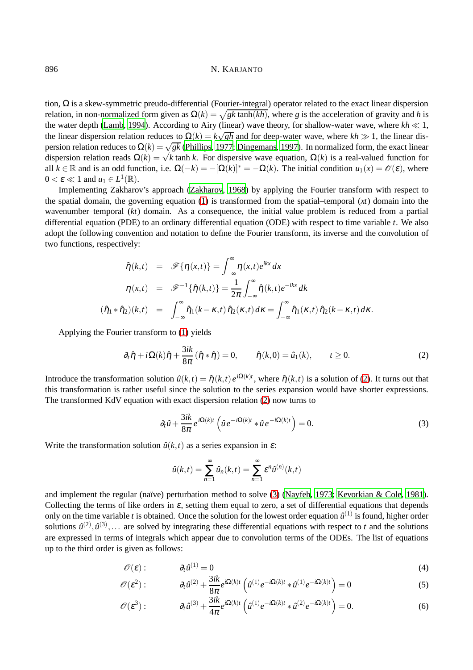tion,  $Ω$  is a skew-symmetric preudo-differential (Fourier-integral) operator related to the exact linear dispersion relation, in non-normalized form given as  $\Omega(k) = \sqrt{gk \tanh(kh)}$ , where *g* is the acceleration of gravity and *h* is the water depth [\(Lamb, 1994\)](#page-10-16). According to Airy (linear) wave theory, for shallow-water wave, where *kh* ≪ 1, the linear dispersion relation reduces to  $\Omega(k) = k\sqrt{gh}$  and for deep-water wave, where  $kh \gg 1$ , the linear dispersion relation reduces to  $\Omega(k) = \sqrt{gk}$  [\(Phillips](#page-11-18), [1977;](#page-11-18) [Dingemans, 1997\)](#page-9-7). In normalized form, the exact linear dispersion relation reads  $\Omega(k) = \sqrt{k \tanh k}$ . For dispersive wave equation,  $\Omega(k)$  is a real-valued function for all  $k \in \mathbb{R}$  and is an odd function, i.e.  $\Omega(-k) = -[\Omega(k)]^* = -\Omega(k)$ . The initial condition  $u_1(x) = \mathcal{O}(\varepsilon)$ , where  $0 < \varepsilon \ll 1$  and  $u_1 \in L^1(\mathbb{R})$ .

Implementing Zakharov's approach [\(Zakharov](#page-12-1), [1968\)](#page-12-1) by applying the Fourier transform with respect to the spatial domain, the governing equation [\(1\)](#page-2-1) is transformed from the spatial–temporal (*xt*) domain into the wavenumber–temporal (*kt*) domain. As a consequence, the initial value problem is reduced from a partial differential equation (PDE) to an ordinary differential equation (ODE) with respect to time variable *t*. We also adopt the following convention and notation to define the Fourier transform, its inverse and the convolution of two functions, respectively:

$$
\hat{\eta}(k,t) = \mathscr{F}\{\eta(x,t)\} = \int_{-\infty}^{\infty} \eta(x,t)e^{ikx} dx
$$

$$
\eta(x,t) = \mathscr{F}^{-1}\{\hat{\eta}(k,t)\} = \frac{1}{2\pi} \int_{-\infty}^{\infty} \hat{\eta}(k,t)e^{-ikx} dk
$$

$$
(\hat{\eta}_1 * \hat{\eta}_2)(k,t) = \int_{-\infty}^{\infty} \hat{\eta}_1(k-\kappa,t)\,\hat{\eta}_2(\kappa,t) d\kappa = \int_{-\infty}^{\infty} \hat{\eta}_1(\kappa,t)\,\hat{\eta}_2(k-\kappa,t) d\kappa.
$$

Applying the Fourier transform to [\(1\)](#page-2-1) yields

<span id="page-3-0"></span>
$$
\partial_t \hat{\eta} + i\Omega(k)\hat{\eta} + \frac{3ik}{8\pi}(\hat{\eta} * \hat{\eta}) = 0, \qquad \hat{\eta}(k,0) = \hat{u}_1(k), \qquad t \ge 0.
$$
 (2)

Introduce the transformation solution  $\hat{u}(k,t) = \hat{\eta}(k,t) e^{i\Omega(k)t}$ , where  $\hat{\eta}(k,t)$  is a solution of [\(2\)](#page-3-0). It turns out that this transformation is rather useful since the solution to the series expansion would have shorter expressions. The transformed KdV equation with exact dispersion relation [\(2\)](#page-3-0) now turns to

$$
\partial_t \hat{u} + \frac{3ik}{8\pi} e^{i\Omega(k)t} \left( \hat{u} e^{-i\Omega(k)t} * \hat{u} e^{-i\Omega(k)t} \right) = 0.
$$
 (3)

Write the transformation solution  $\hat{u}(k,t)$  as a series expansion in  $\varepsilon$ :

<span id="page-3-1"></span>
$$
\hat{u}(k,t) = \sum_{n=1}^{\infty} \hat{u}_n(k,t) = \sum_{n=1}^{\infty} \varepsilon^n \hat{u}^{(n)}(k,t)
$$

and implement the regular (naïve) perturbation method to solve  $(3)$  [\(Nayfeh, 1973](#page-11-5); [Kevorkian & Cole](#page-10-4), [1981\)](#page-10-4). Collecting the terms of like orders in  $\varepsilon$ , setting them equal to zero, a set of differential equations that depends only on the time variable *t* is obtained. Once the solution for the lowest order equation  $\hat{u}^{(1)}$  is found, higher order solutions  $\hat{u}^{(2)}, \hat{u}^{(3)}, \dots$  are solved by integrating these differential equations with respect to *t* and the solutions are expressed in terms of integrals which appear due to convolution terms of the ODEs. The list of equations up to the third order is given as follows:

<span id="page-3-2"></span>
$$
\mathscr{O}(\varepsilon): \qquad \partial_t \hat{u}^{(1)} = 0 \tag{4}
$$

$$
\mathscr{O}(\varepsilon^2): \qquad \partial_t \hat{u}^{(2)} + \frac{3ik}{8\pi} e^{i\Omega(k)t} \left( \hat{u}^{(1)} e^{-i\Omega(k)t} * \hat{u}^{(1)} e^{-i\Omega(k)t} \right) = 0 \tag{5}
$$

$$
\mathscr{O}(\varepsilon^3): \qquad \partial_t \hat{u}^{(3)} + \frac{3ik}{4\pi} e^{i\Omega(k)t} \left( \hat{u}^{(1)} e^{-i\Omega(k)t} * \hat{u}^{(2)} e^{-i\Omega(k)t} \right) = 0. \tag{6}
$$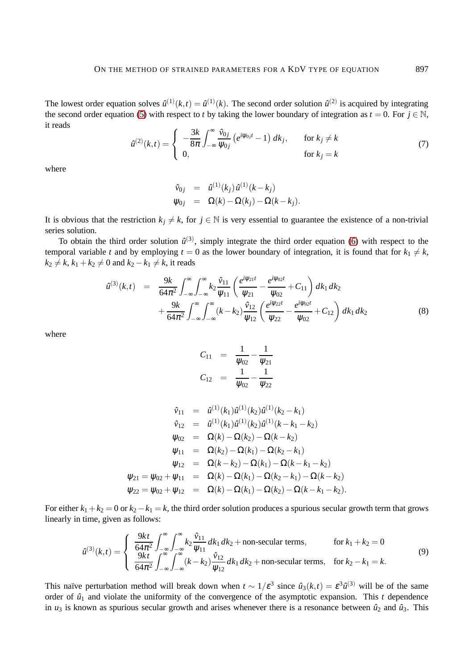<span id="page-4-0"></span>The lowest order equation solves  $\hat{u}^{(1)}(k,t) = \hat{u}^{(1)}(k)$ . The second order solution  $\hat{u}^{(2)}$  is acquired by integrating the second order equation [\(5\)](#page-3-2) with respect to *t* by taking the lower boundary of integration as  $t = 0$ . For  $j \in \mathbb{N}$ , it reads

$$
\hat{u}^{(2)}(k,t) = \begin{cases}\n-\frac{3k}{8\pi} \int_{-\infty}^{\infty} \frac{\hat{v}_{0j}}{\psi_{0j}} \left(e^{i\psi_{0j}t} - 1\right) dk_j, & \text{for } k_j \neq k \\
0, & \text{for } k_j = k\n\end{cases}
$$
\n(7)

where

$$
\hat{v}_{0j} = \hat{u}^{(1)}(k_j) \hat{u}^{(1)}(k - k_j) \n\psi_{0j} = \Omega(k) - \Omega(k_j) - \Omega(k - k_j).
$$

It is obvious that the restriction  $k_j \neq k$ , for  $j \in \mathbb{N}$  is very essential to guarantee the existence of a non-trivial series solution.

To obtain the third order solution  $\hat{u}^{(3)}$ , simply integrate the third order equation [\(6\)](#page-3-2) with respect to the temporal variable *t* and by employing  $t = 0$  as the lower boundary of integration, it is found that for  $k_1 \neq k$ ,  $k_2 \neq k$ ,  $k_1 + k_2 \neq 0$  and  $k_2 - k_1 \neq k$ , it reads

<span id="page-4-1"></span>
$$
\hat{u}^{(3)}(k,t) = \frac{9k}{64\pi^2} \int_{-\infty}^{\infty} \int_{-\infty}^{\infty} k_2 \frac{\hat{v}_{11}}{\psi_{11}} \left( \frac{e^{i\psi_{21}t}}{\psi_{21}} - \frac{e^{i\psi_{02}t}}{\psi_{02}} + C_{11} \right) dk_1 dk_2 + \frac{9k}{64\pi^2} \int_{-\infty}^{\infty} \int_{-\infty}^{\infty} (k - k_2) \frac{\hat{v}_{12}}{\psi_{12}} \left( \frac{e^{i\psi_{22}t}}{\psi_{22}} - \frac{e^{i\psi_{02}t}}{\psi_{02}} + C_{12} \right) dk_1 dk_2
$$
\n(8)

where

$$
C_{11} = \frac{1}{\psi_{02}} - \frac{1}{\psi_{21}}
$$
  

$$
C_{12} = \frac{1}{\psi_{02}} - \frac{1}{\psi_{22}}
$$

$$
\hat{v}_{11} = \hat{u}^{(1)}(k_1)\hat{u}^{(1)}(k_2)\hat{u}^{(1)}(k_2 - k_1) \n\hat{v}_{12} = \hat{u}^{(1)}(k_1)\hat{u}^{(1)}(k_2)\hat{u}^{(1)}(k - k_1 - k_2) \n\psi_{02} = \Omega(k) - \Omega(k_2) - \Omega(k - k_2) \n\psi_{11} = \Omega(k_2) - \Omega(k_1) - \Omega(k_2 - k_1) \n\psi_{12} = \Omega(k - k_2) - \Omega(k_1) - \Omega(k - k_1 - k_2) \n\psi_{21} = \psi_{02} + \psi_{11} = \Omega(k) - \Omega(k_1) - \Omega(k_2 - k_1) - \Omega(k - k_2) \n\psi_{22} = \psi_{02} + \psi_{12} = \Omega(k) - \Omega(k_1) - \Omega(k_2) - \Omega(k - k_1 - k_2).
$$

For either  $k_1 + k_2 = 0$  or  $k_2 - k_1 = k$ , the third order solution produces a spurious secular growth term that grows linearly in time, given as follows:

$$
\hat{u}^{(3)}(k,t) = \begin{cases}\n\frac{9kt}{64\pi^2} \int_{-\infty}^{\infty} \int_{-\infty}^{\infty} k_2 \frac{\hat{v}_{11}}{\psi_{11}} dk_1 dk_2 + \text{non-secular terms}, & \text{for } k_1 + k_2 = 0 \\
\frac{9kt}{64\pi^2} \int_{-\infty}^{\infty} \int_{-\infty}^{\infty} (k - k_2) \frac{\hat{v}_{12}}{\psi_{12}} dk_1 dk_2 + \text{non-secular terms}, & \text{for } k_2 - k_1 = k.\n\end{cases}
$$
\n(9)

This naïve perturbation method will break down when  $t \sim 1/\varepsilon^3$  since  $\hat{u}_3(k,t) = \varepsilon^3 \hat{u}^{(3)}$  will be of the same order of  $\hat{u}_1$  and violate the uniformity of the convergence of the asymptotic expansion. This *t* dependence in  $u_3$  is known as spurious secular growth and arises whenever there is a resonance between  $\hat{u}_2$  and  $\hat{u}_3$ . This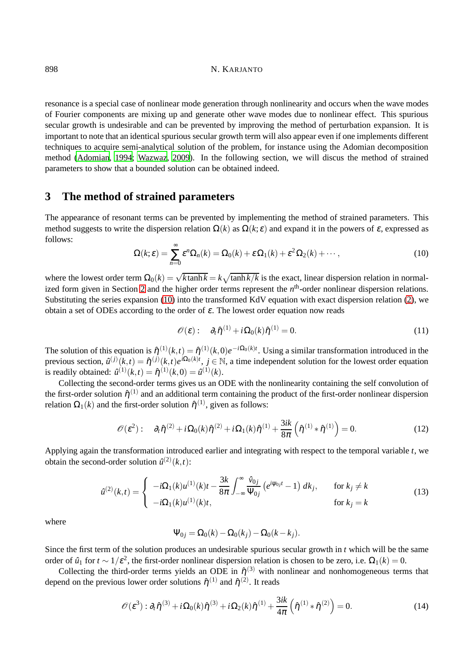resonance is a special case of nonlinear mode generation through nonlinearity and occurs when the wave modes of Fourier components are mixing up and generate other wave modes due to nonlinear effect. This spurious secular growth is undesirable and can be prevented by improving the method of perturbation expansion. It is important to note that an identical spurious secular growth term will also appear even if one implements different techniques to acquire semi-analytical solution of the problem, for instance using the Adomian decomposition method [\(Adomian, 1994](#page-9-6); [Wazwaz](#page-11-6), [2009\)](#page-11-6). In the following section, we will discus the method of strained parameters to show that a bounded solution can be obtained indeed.

### <span id="page-5-0"></span>**3 The method of strained parameters**

<span id="page-5-1"></span>The appearance of resonant terms can be prevented by implementing the method of strained parameters. This method suggests to write the dispersion relation  $\Omega(k)$  as  $\Omega(k;\varepsilon)$  and expand it in the powers of  $\varepsilon$ , expressed as follows:

$$
\Omega(k;\varepsilon) = \sum_{n=0}^{\infty} \varepsilon^n \Omega_n(k) = \Omega_0(k) + \varepsilon \Omega_1(k) + \varepsilon^2 \Omega_2(k) + \cdots,
$$
\n(10)

where the lowest order term  $\Omega_0(k) = \sqrt{k \tanh k} = k \sqrt{\tanh k/k}$  is the exact, linear dispersion relation in normal-ized form given in Section [2](#page-2-2) and the higher order terms represent the  $n<sup>th</sup>$ -order nonlinear dispersion relations. Substituting the series expansion [\(10\)](#page-5-1) into the transformed KdV equation with exact dispersion relation [\(2\)](#page-3-0), we obtain a set of ODEs according to the order of  $\varepsilon$ . The lowest order equation now reads

$$
\mathscr{O}(\varepsilon): \quad \partial_t \hat{\eta}^{(1)} + i \Omega_0(k) \hat{\eta}^{(1)} = 0. \tag{11}
$$

The solution of this equation is  $\hat{\eta}^{(1)}(k,t) = \hat{\eta}^{(1)}(k,0)e^{-i\Omega_0(k)t}$ . Using a similar transformation introduced in the previous section,  $\hat{u}^{(j)}(k,t) = \hat{\eta}^{(j)}(k,t) e^{i\Omega_0(k)t}$ ,  $j \in \mathbb{N}$ , a time independent solution for the lowest order equation is readily obtained:  $\hat{u}^{(1)}(k,t) = \hat{\eta}^{(1)}(k,0) = \hat{u}^{(1)}(k)$ .

Collecting the second-order terms gives us an ODE with the nonlinearity containing the self convolution of the first-order solution  $\hat{\eta}^{(1)}$  and an additional term containing the product of the first-order nonlinear dispersion relation  $\Omega_1(k)$  and the first-order solution  $\hat{\eta}^{(1)}$ , given as follows:

$$
\mathscr{O}(\varepsilon^2): \quad \partial_t \hat{\eta}^{(2)} + i \Omega_0(k) \hat{\eta}^{(2)} + i \Omega_1(k) \hat{\eta}^{(1)} + \frac{3ik}{8\pi} \left( \hat{\eta}^{(1)} \ast \hat{\eta}^{(1)} \right) = 0. \tag{12}
$$

Applying again the transformation introduced earlier and integrating with respect to the temporal variable *t*, we obtain the second-order solution  $\hat{u}^{(2)}(k,t)$ :

$$
\hat{u}^{(2)}(k,t) = \begin{cases}\n-i\Omega_1(k)u^{(1)}(k)t - \frac{3k}{8\pi} \int_{-\infty}^{\infty} \frac{\hat{v}_{0j}}{\Psi_{0j}} \left(e^{i\Psi_{0j}t} - 1\right) dk_j, & \text{for } k_j \neq k \\
-i\Omega_1(k)u^{(1)}(k)t, & \text{for } k_j = k\n\end{cases}
$$
\n(13)

where

$$
\Psi_{0j} = \Omega_0(k) - \Omega_0(k_j) - \Omega_0(k - k_j).
$$

Since the first term of the solution produces an undesirable spurious secular growth in *t* which will be the same order of  $\hat{u}_1$  for  $t \sim 1/\varepsilon^2$ , the first-order nonlinear dispersion relation is chosen to be zero, i.e.  $\Omega_1(k) = 0$ .

Collecting the third-order terms yields an ODE in  $\hat{\eta}^{(3)}$  with nonlinear and nonhomogeneous terms that depend on the previous lower order solutions  $\hat{\eta}^{(1)}$  and  $\hat{\eta}^{(2)}$ . It reads

$$
\mathcal{O}(\varepsilon^3) : \partial_t \hat{\eta}^{(3)} + i \Omega_0(k) \hat{\eta}^{(3)} + i \Omega_2(k) \hat{\eta}^{(1)} + \frac{3ik}{4\pi} \left( \hat{\eta}^{(1)} * \hat{\eta}^{(2)} \right) = 0.
$$
 (14)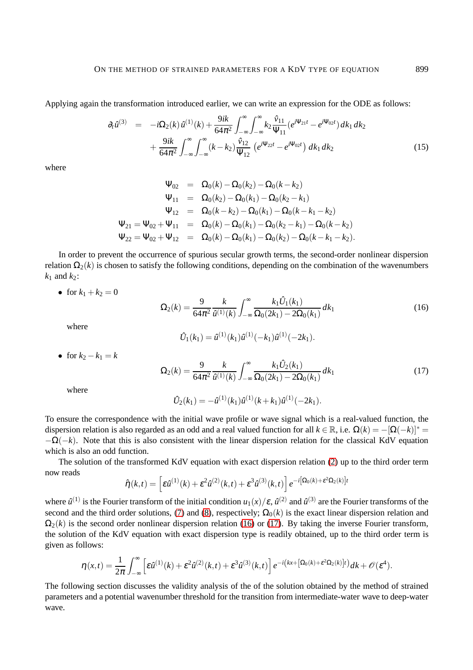Applying again the transformation introduced earlier, we can write an expression for the ODE as follows:

$$
\partial_t \hat{u}^{(3)} = -i\Omega_2(k)\hat{u}^{(1)}(k) + \frac{9ik}{64\pi^2} \int_{-\infty}^{\infty} \int_{-\infty}^{\infty} k_2 \frac{\hat{v}_{11}}{\Psi_{11}} (e^{i\Psi_{21}t} - e^{i\Psi_{02}t}) dk_1 dk_2 \n+ \frac{9ik}{64\pi^2} \int_{-\infty}^{\infty} \int_{-\infty}^{\infty} (k - k_2) \frac{\hat{v}_{12}}{\Psi_{12}} (e^{i\Psi_{22}t} - e^{i\Psi_{02}t}) dk_1 dk_2
$$
\n(15)

where

$$
\Psi_{02} = \Omega_0(k) - \Omega_0(k_2) - \Omega_0(k - k_2) \n\Psi_{11} = \Omega_0(k_2) - \Omega_0(k_1) - \Omega_0(k_2 - k_1) \n\Psi_{12} = \Omega_0(k - k_2) - \Omega_0(k_1) - \Omega_0(k - k_1 - k_2) \n\Psi_{21} = \Psi_{02} + \Psi_{11} = \Omega_0(k) - \Omega_0(k_1) - \Omega_0(k_2 - k_1) - \Omega_0(k - k_2) \n\Psi_{22} = \Psi_{02} + \Psi_{12} = \Omega_0(k) - \Omega_0(k_1) - \Omega_0(k_2) - \Omega_0(k - k_1 - k_2).
$$

In order to prevent the occurrence of spurious secular growth terms, the second-order nonlinear dispersion relation  $\Omega_2(k)$  is chosen to satisfy the following conditions, depending on the combination of the wavenumbers  $k_1$  and  $k_2$ :

• for  $k_1 + k_2 = 0$ 

<span id="page-6-0"></span>
$$
\Omega_2(k) = \frac{9}{64\pi^2} \frac{k}{\hat{u}^{(1)}(k)} \int_{-\infty}^{\infty} \frac{k_1 \hat{U}_1(k_1)}{\Omega_0(2k_1) - 2\Omega_0(k_1)} dk_1
$$
(16)

where

$$
\hat{U}_1(k_1) = \hat{u}^{(1)}(k_1)\hat{u}^{(1)}(-k_1)\hat{u}^{(1)}(-2k_1).
$$

• for  $k_2 - k_1 = k$ 

<span id="page-6-1"></span>
$$
\Omega_2(k) = \frac{9}{64\pi^2} \frac{k}{\hat{u}^{(1)}(k)} \int_{-\infty}^{\infty} \frac{k_1 \hat{U}_2(k_1)}{\Omega_0(2k_1) - 2\Omega_0(k_1)} dk_1 \tag{17}
$$

where

$$
\hat{U}_2(k_1) = -\hat{u}^{(1)}(k_1)\hat{u}^{(1)}(k+k_1)\hat{u}^{(1)}(-2k_1).
$$

To ensure the correspondence with the initial wave profile or wave signal which is a real-valued function, the dispersion relation is also regarded as an odd and a real valued function for all  $k \in \mathbb{R}$ , i.e.  $\Omega(k) = -[\Omega(-k)]^*$  $-\Omega(-k)$ . Note that this is also consistent with the linear dispersion relation for the classical KdV equation which is also an odd function.

The solution of the transformed KdV equation with exact dispersion relation [\(2\)](#page-3-0) up to the third order term now reads

$$
\hat{\eta}(k,t) = \left[\varepsilon \hat{u}^{(1)}(k) + \varepsilon^2 \hat{u}^{(2)}(k,t) + \varepsilon^3 \hat{u}^{(3)}(k,t)\right] e^{-i\left[\Omega_0(k) + \varepsilon^2 \Omega_2(k)\right]t}
$$

where  $\hat{u}^{(1)}$  is the Fourier transform of the initial condition  $u_1(x)/\varepsilon$ ,  $\hat{u}^{(2)}$  and  $\hat{u}^{(3)}$  are the Fourier transforms of the second and the third order solutions, [\(7\)](#page-4-0) and [\(8\)](#page-4-1), respectively;  $\Omega_0(k)$  is the exact linear dispersion relation and  $\Omega_2(k)$  is the second order nonlinear dispersion relation [\(16\)](#page-6-0) or [\(17\)](#page-6-1). By taking the inverse Fourier transform, the solution of the KdV equation with exact dispersion type is readily obtained, up to the third order term is given as follows:

$$
\eta(x,t)=\frac{1}{2\pi}\int_{-\infty}^{\infty}\left[\varepsilon\hat{u}^{(1)}(k)+\varepsilon^2\hat{u}^{(2)}(k,t)+\varepsilon^3\hat{u}^{(3)}(k,t)\right]e^{-i\left(kx+\left[\Omega_0(k)+\varepsilon^2\Omega_2(k)\right]t\right)}dk+\mathscr{O}(\varepsilon^4).
$$

The following section discusses the validity analysis of the of the solution obtained by the method of strained parameters and a potential wavenumber threshold for the transition from intermediate-water wave to deep-water wave.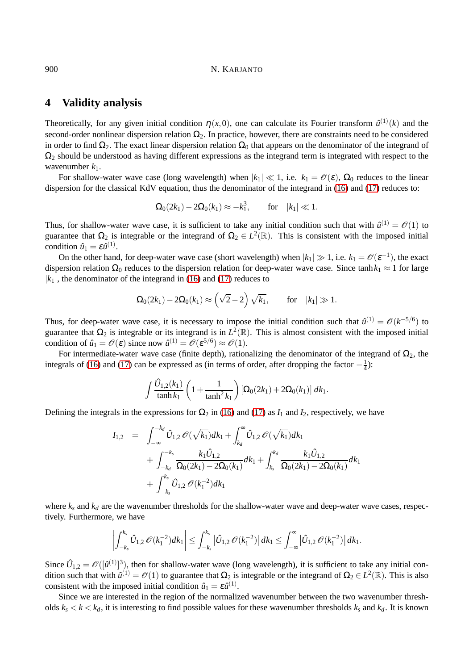### <span id="page-7-0"></span>**4 Validity analysis**

Theoretically, for any given initial condition  $\eta(x,0)$ , one can calculate its Fourier transform  $\hat{u}^{(1)}(k)$  and the second-order nonlinear dispersion relation  $\Omega_2$ . In practice, however, there are constraints need to be considered in order to find  $\Omega_2$ . The exact linear dispersion relation  $\Omega_0$  that appears on the denominator of the integrand of  $\Omega_2$  should be understood as having different expressions as the integrand term is integrated with respect to the wavenumber  $k_1$ .

For shallow-water wave case (long wavelength) when  $|k_1| \ll 1$ , i.e.  $k_1 = \mathcal{O}(\varepsilon)$ ,  $\Omega_0$  reduces to the linear dispersion for the classical KdV equation, thus the denominator of the integrand in [\(16\)](#page-6-0) and [\(17\)](#page-6-1) reduces to:

$$
\Omega_0(2k_1) - 2\Omega_0(k_1) \approx -k_1^3, \quad \text{for} \quad |k_1| \ll 1.
$$

Thus, for shallow-water wave case, it is sufficient to take any initial condition such that with  $\hat{u}^{(1)} = \mathcal{O}(1)$  to guarantee that  $\Omega_2$  is integrable or the integrand of  $\Omega_2 \in L^2(\mathbb{R})$ . This is consistent with the imposed initial condition  $\hat{u}_1 = \varepsilon \hat{u}^{(1)}$ .

On the other hand, for deep-water wave case (short wavelength) when  $|k_1| \gg 1$ , i.e.  $k_1 = \mathcal{O}(\varepsilon^{-1})$ , the exact dispersion relation  $\Omega_0$  reduces to the dispersion relation for deep-water wave case. Since  $tanh k_1 \approx 1$  for large  $|k_1|$ , the denominator of the integrand in [\(16\)](#page-6-0) and [\(17\)](#page-6-1) reduces to

$$
\Omega_0(2k_1) - 2\Omega_0(k_1) \approx \left(\sqrt{2} - 2\right)\sqrt{k_1}, \quad \text{for} \quad |k_1| \gg 1.
$$

Thus, for deep-water wave case, it is necessary to impose the initial condition such that  $\hat{u}^{(1)} = \mathcal{O}(k^{-5/6})$  to guarantee that  $\Omega_2$  is integrable or its integrand is in  $L^2(\mathbb{R})$ . This is almost consistent with the imposed initial condition of  $\hat{u}_1 = \mathcal{O}(\varepsilon)$  since now  $\hat{u}^{(1)} = \mathcal{O}(\varepsilon^{5/6}) \approx \mathcal{O}(1)$ .

For intermediate-water wave case (finite depth), rationalizing the denominator of the integrand of  $\Omega_2$ , the integrals of [\(16\)](#page-6-0) and [\(17\)](#page-6-1) can be expressed as (in terms of order, after dropping the factor  $-\frac{1}{4}$  $\frac{1}{4}$ ):

$$
\int \frac{\hat{U}_{1,2}(k_1)}{\tanh k_1} \left(1 + \frac{1}{\tanh^2 k_1}\right) \left[\Omega_0(2k_1) + 2\Omega_0(k_1)\right] dk_1.
$$

Defining the integrals in the expressions for  $\Omega_2$  in [\(16\)](#page-6-0) and [\(17\)](#page-6-1) as  $I_1$  and  $I_2$ , respectively, we have

$$
I_{1,2} = \int_{-\infty}^{-k_d} \hat{U}_{1,2} \mathcal{O}(\sqrt{k_1}) dk_1 + \int_{k_d}^{\infty} \hat{U}_{1,2} \mathcal{O}(\sqrt{k_1}) dk_1 + \int_{-k_d}^{-k_s} \frac{k_1 \hat{U}_{1,2}}{\Omega_0(2k_1) - 2\Omega_0(k_1)} dk_1 + \int_{k_s}^{k_d} \frac{k_1 \hat{U}_{1,2}}{\Omega_0(2k_1) - 2\Omega_0(k_1)} dk_1 + \int_{-k_s}^{k_s} \hat{U}_{1,2} \mathcal{O}(k_1^{-2}) dk_1
$$

where  $k_s$  and  $k_d$  are the wavenumber thresholds for the shallow-water wave and deep-water wave cases, respectively. Furthermore, we have

$$
\left|\int_{-k_s}^{k_s} \hat{U}_{1,2} \mathscr{O}(k_1^{-2})dk_1\right| \leq \int_{-k_s}^{k_s} \left|\hat{U}_{1,2} \mathscr{O}(k_1^{-2})\right| dk_1 \leq \int_{-\infty}^{\infty} \left|\hat{U}_{1,2} \mathscr{O}(k_1^{-2})\right| dk_1.
$$

Since  $\hat{U}_{1,2} = \mathcal{O}([{\hat{u}}^{(1)}]^3)$ , then for shallow-water wave (long wavelength), it is sufficient to take any initial condition such that with  $\hat{u}^{(1)} = \mathcal{O}(1)$  to guarantee that  $\Omega_2$  is integrable or the integrand of  $\Omega_2 \in L^2(\mathbb{R})$ . This is also consistent with the imposed initial condition  $\hat{u}_1 = \varepsilon \hat{u}^{(1)}$ .

Since we are interested in the region of the normalized wavenumber between the two wavenumber thresholds  $k_s < k < k_d$ , it is interesting to find possible values for these wavenumber thresholds  $k_s$  and  $k_d$ . It is known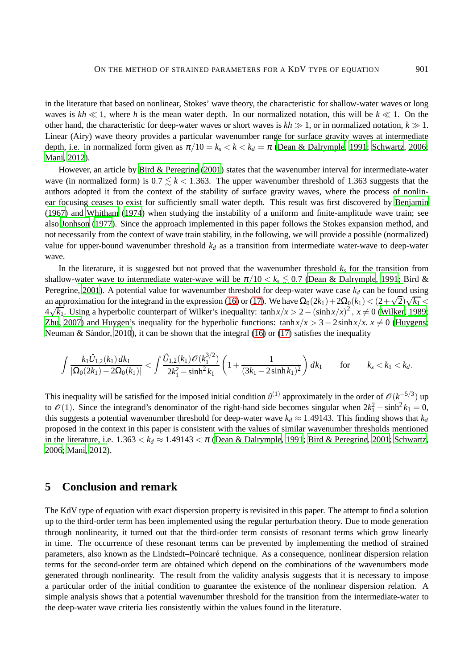in the literature that based on nonlinear, Stokes' wave theory, the characteristic for shallow-water waves or long waves is  $kh \ll 1$ , where h is the mean water depth. In our normalized notation, this will be  $k \ll 1$ . On the other hand, the characteristic for deep-water waves or short waves is  $kh \gg 1$ , or in normalized notation,  $k \gg 1$ . Linear (Airy) wave theory provides a particular wavenumber range for surface gravity waves at intermediate depth, i.e. in normalized form given as  $\pi/10 = k_s < k < k_d = \pi$  [\(Dean & Dalrymple, 1991](#page-9-1); [Schwartz](#page-11-19), [2006;](#page-11-19) [Mani, 2012\)](#page-10-17).

However, an article by [Bird & Peregrine \(2001\)](#page-9-4) states that the wavenumber interval for intermediate-water wave (in normalized form) is  $0.7 \le k < 1.363$ . The upper wavenumber threshold of 1.363 suggests that the authors adopted it from the context of the stability of surface gravity waves, where the process of nonlinear focusing ceases to exist for sufficiently small water depth. This result was first discovered by [Benjamin](#page-9-12) [\(1967\)](#page-9-12) and [Whitham](#page-12-3) [\(1974](#page-12-3)) when studying the instability of a uniform and finite-amplitude wave train; see also [Jonhson \(1977](#page-10-18)). Since the approach implemented in this paper follows the Stokes expansion method, and not necessarily from the context of wave train stability, in the following, we will provide a possible (normalized) value for upper-bound wavenumber threshold  $k_d$  as a transition from intermediate water-wave to deep-water wave.

In the literature, it is suggested but not proved that the wavenumber threshold  $k_s$  for the transition from shallow-[water wave to intermediate water-wave will be](#page-9-4)  $\pi/10 < k_s \lesssim 0.7$  [\(Dean & Dalrymple, 1991;](#page-9-1) Bird & Peregrine, [2001](#page-9-4)). A potential value for wavenumber threshold for deep-water wave case  $k_d$  can be found using an approximation for the integrand in the expression [\(16\)](#page-6-0) or [\(17\)](#page-6-1). We have  $\Omega_0(2k_1) + 2\Omega_0(k_1) < (2+\sqrt{2})\sqrt{k_1} <$  $4\sqrt{k_1}$ . Using a hyperbolic counterpart of Wilker's inequality: tanh  $x/x > 2 - (\sinh x/x)^2$ ,  $x ≠ 0$  [\(Wilker, 1989;](#page-12-4) [Zhu](#page-12-5), [2007\)](#page-12-5) and Huygen's inequality for the hyperbolic functions:  $\tanh x/x > 3 - 2\sinh x/x$ .  $x \neq 0$  [\(Huygens;](#page-10-19) Neuman & Sándor, [2010\)](#page-11-20), it can be shown that the integral [\(16\)](#page-6-0) or [\(17\)](#page-6-1) satisfies the inequality

$$
\int \frac{k_1 \hat{U}_{1,2}(k_1) dk_1}{|\Omega_0(2k_1) - 2\Omega_0(k_1)|} < \int \frac{\hat{U}_{1,2}(k_1) \mathcal{O}(k_1^{3/2})}{2k_1^2 - \sinh^2 k_1} \left(1 + \frac{1}{(3k_1 - 2\sinh k_1)^2}\right) dk_1 \quad \text{for} \quad k_s < k_1 < k_d.
$$

This inequality will be satisfied for the imposed initial condition  $\hat{u}^{(1)}$  approximately in the order of  $\mathcal{O}(k^{-5/3})$  up to  $\mathcal{O}(1)$ . Since the integrand's denominator of the right-hand side becomes singular when  $2k_1^2 - \sinh^2 k_1 = 0$ , this suggests a potential wavenumber threshold for deep-water wave  $k_d \approx 1.49143$ . This finding shows that  $k_d$ proposed in the context in this paper is consistent with the values of similar wavenumber thresholds mentioned in the literature, i.e.  $1.363 < k_d \approx 1.49143 < \pi$  [\(Dean & Dalrymple](#page-9-1), [1991](#page-9-1); [Bird & Peregrine](#page-9-4), [2001;](#page-9-4) [Schwartz](#page-11-19), [2006](#page-11-19); [Mani](#page-10-17), [2012](#page-10-17)).

# **5 Conclusion and remark**

The KdV type of equation with exact dispersion property is revisited in this paper. The attempt to find a solution up to the third-order term has been implemented using the regular perturbation theory. Due to mode generation through nonlinearity, it turned out that the third-order term consists of resonant terms which grow linearly in time. The occurrence of these resonant terms can be prevented by implementing the method of strained parameters, also known as the Lindstedt–Poincar´e technique. As a consequence, nonlinear dispersion relation terms for the second-order term are obtained which depend on the combinations of the wavenumbers mode generated through nonlinearity. The result from the validity analysis suggests that it is necessary to impose a particular order of the initial condition to guarantee the existence of the nonlinear dispersion relation. A simple analysis shows that a potential wavenumber threshold for the transition from the intermediate-water to the deep-water wave criteria lies consistently within the values found in the literature.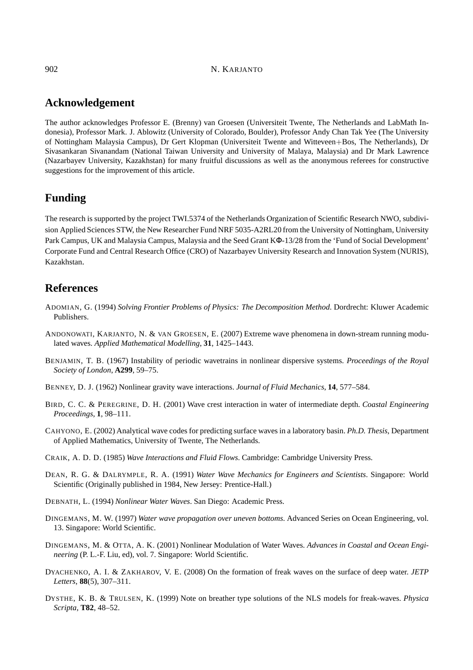# **Acknowledgement**

The author acknowledges Professor E. (Brenny) van Groesen (Universiteit Twente, The Netherlands and LabMath Indonesia), Professor Mark. J. Ablowitz (University of Colorado, Boulder), Professor Andy Chan Tak Yee (The University of Nottingham Malaysia Campus), Dr Gert Klopman (Universiteit Twente and Witteveen+Bos, The Netherlands), Dr Sivasankaran Sivanandam (National Taiwan University and University of Malaya, Malaysia) and Dr Mark Lawrence (Nazarbayev University, Kazakhstan) for many fruitful discussions as well as the anonymous referees for constructive suggestions for the improvement of this article.

# **Funding**

The research is supported by the project TWI.5374 of the Netherlands Organization of Scientific Research NWO, subdivision Applied Sciences STW, the New Researcher Fund NRF 5035-A2RL20 from the University of Nottingham, University Park Campus, UK and Malaysia Campus, Malaysia and the Seed Grant KΦ-13/28 from the 'Fund of Social Development' Corporate Fund and Central Research Office (CRO) of Nazarbayev University Research and Innovation System (NURIS), Kazakhstan.

# **References**

- <span id="page-9-6"></span>ADOMIAN, G. (1994) *Solving Frontier Problems of Physics: The Decomposition Method*. Dordrecht: Kluwer Academic Publishers.
- <span id="page-9-9"></span>ANDONOWATI, KARJANTO, N. & VAN GROESEN, E. (2007) Extreme wave phenomena in down-stream running modulated waves. *Applied Mathematical Modelling*, **31**, 1425–1443.
- <span id="page-9-12"></span>BENJAMIN, T. B. (1967) Instability of periodic wavetrains in nonlinear dispersive systems. *Proceedings of the Royal Society of London*, **A299**, 59–75.
- <span id="page-9-3"></span>BENNEY, D. J. (1962) Nonlinear gravity wave interactions. *Journal of Fluid Mechanics*, **14**, 577–584.
- <span id="page-9-4"></span>BIRD, C. C. & PEREGRINE, D. H. (2001) Wave crest interaction in water of intermediate depth. *Coastal Engineering Proceedings*, **1**, 98–111.
- <span id="page-9-0"></span>CAHYONO, E. (2002) Analytical wave codes for predicting surface waves in a laboratory basin. *Ph.D. Thesis*, Department of Applied Mathematics, University of Twente, The Netherlands.
- <span id="page-9-5"></span>CRAIK, A. D. D. (1985) *Wave Interactions and Fluid Flows*. Cambridge: Cambridge University Press.
- <span id="page-9-1"></span>DEAN, R. G. & DALRYMPLE, R. A. (1991) *Water Wave Mechanics for Engineers and Scientists*. Singapore: World Scientific (Originally published in 1984, New Jersey: Prentice-Hall.)
- <span id="page-9-2"></span>DEBNATH, L. (1994) *Nonlinear Water Waves*. San Diego: Academic Press.
- <span id="page-9-7"></span>DINGEMANS, M. W. (1997) *Water wave propagation over uneven bottoms*. Advanced Series on Ocean Engineering, vol. 13. Singapore: World Scientific.
- <span id="page-9-8"></span>DINGEMANS, M. & OTTA, A. K. (2001) Nonlinear Modulation of Water Waves. *Advances in Coastal and Ocean Engineering* (P. L.-F. Liu, ed), vol. 7. Singapore: World Scientific.
- <span id="page-9-11"></span>DYACHENKO, A. I. & ZAKHAROV, V. E. (2008) On the formation of freak waves on the surface of deep water. *JETP Letters*, **88**(5), 307–311.
- <span id="page-9-10"></span>DYSTHE, K. B. & TRULSEN, K. (1999) Note on breather type solutions of the NLS models for freak-waves. *Physica Scripta*, **T82**, 48–52.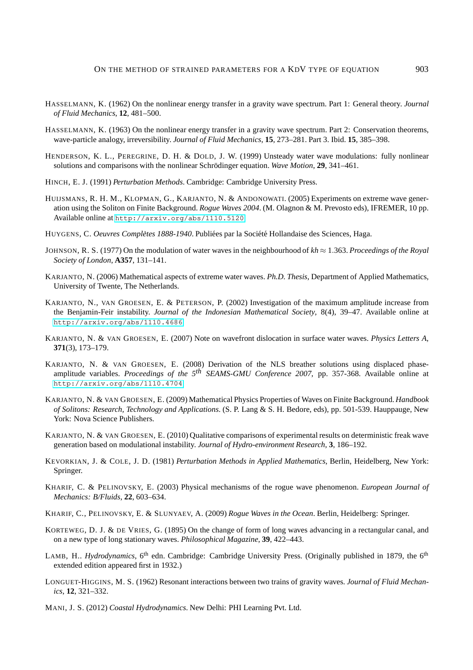- <span id="page-10-2"></span>HASSELMANN, K. (1962) On the nonlinear energy transfer in a gravity wave spectrum. Part 1: General theory. *Journal of Fluid Mechanics*, **12**, 481–500.
- <span id="page-10-3"></span>HASSELMANN, K. (1963) On the nonlinear energy transfer in a gravity wave spectrum. Part 2: Conservation theorems, wave-particle analogy, irreversibility. *Journal of Fluid Mechanics*, **15**, 273–281. Part 3. Ibid. **15**, 385–398.
- <span id="page-10-13"></span>HENDERSON, K. L., PEREGRINE, D. H. & DOLD, J. W. (1999) Unsteady water wave modulations: fully nonlinear solutions and comparisons with the nonlinear Schrödinger equation. *Wave Motion*, **29**, 341–461.
- <span id="page-10-5"></span>HINCH, E. J. (1991) *Perturbation Methods*. Cambridge: Cambridge University Press.
- <span id="page-10-8"></span>HUIJSMANS, R. H. M., KLOPMAN, G., KARJANTO, N. & ANDONOWATI. (2005) Experiments on extreme wave generation using the Soliton on Finite Background. *Rogue Waves 2004*. (M. Olagnon & M. Prevosto eds), IFREMER, 10 pp. Available online at <http://arxiv.org/abs/1110.5120>.
- <span id="page-10-19"></span>HUYGENS, C. *Oeuvres Complètes 1888-1940*. Publiées par la Société Hollandaise des Sciences, Haga.
- <span id="page-10-18"></span>JOHNSON, R. S. (1977) On the modulation of water waves in the neighbourhood of *kh* ≈ 1.363. *Proceedings of the Royal Society of London*, **A357**, 131–141.
- <span id="page-10-6"></span>KARJANTO, N. (2006) Mathematical aspects of extreme water waves. *Ph.D. Thesis*, Department of Applied Mathematics, University of Twente, The Netherlands.
- <span id="page-10-7"></span>KARJANTO, N., VAN GROESEN, E. & PETERSON, P. (2002) Investigation of the maximum amplitude increase from the Benjamin-Feir instability. *Journal of the Indonesian Mathematical Society*, 8(4), 39–47. Available online at <http://arxiv.org/abs/1110.4686>.
- <span id="page-10-9"></span>KARJANTO, N. & VAN GROESEN, E. (2007) Note on wavefront dislocation in surface water waves. *Physics Letters A*, **371**(3), 173–179.
- <span id="page-10-10"></span>KARJANTO, N. & VAN GROESEN, E. (2008) Derivation of the NLS breather solutions using displaced phaseamplitude variables. *Proceedings of the 5th SEAMS-GMU Conference 2007*, pp. 357-368. Available online at <http://arxiv.org/abs/1110.4704>.
- <span id="page-10-11"></span>KARJANTO, N. & VAN GROESEN, E. (2009) Mathematical Physics Properties of Waves on Finite Background. *Handbook of Solitons: Research, Technology and Applications*. (S. P. Lang & S. H. Bedore, eds), pp. 501-539. Hauppauge, New York: Nova Science Publishers.
- <span id="page-10-12"></span>KARJANTO, N. & VAN GROESEN, E. (2010) Qualitative comparisons of experimental results on deterministic freak wave generation based on modulational instability. *Journal of Hydro-environment Research*, **3**, 186–192.
- <span id="page-10-4"></span>KEVORKIAN, J. & COLE, J. D. (1981) *Perturbation Methods in Applied Mathematics*, Berlin, Heidelberg, New York: Springer.
- <span id="page-10-14"></span>KHARIF, C. & PELINOVSKY, E. (2003) Physical mechanisms of the rogue wave phenomenon. *European Journal of Mechanics: B/Fluids*, **22**, 603–634.
- <span id="page-10-15"></span>KHARIF, C., PELINOVSKY, E. & SLUNYAEV, A. (2009) *Rogue Waves in the Ocean*. Berlin, Heidelberg: Springer.
- <span id="page-10-0"></span>KORTEWEG, D. J. & DE VRIES, G. (1895) On the change of form of long waves advancing in a rectangular canal, and on a new type of long stationary waves. *Philosophical Magazine*, **39**, 422–443.
- <span id="page-10-16"></span>LAMB, H.. *Hydrodynamics*, 6<sup>th</sup> edn. Cambridge: Cambridge University Press. (Originally published in 1879, the 6<sup>th</sup> extended edition appeared first in 1932.)
- <span id="page-10-1"></span>LONGUET-HIGGINS, M. S. (1962) Resonant interactions between two trains of gravity waves. *Journal of Fluid Mechanics*, **12**, 321–332.
- <span id="page-10-17"></span>MANI, J. S. (2012) *Coastal Hydrodynamics*. New Delhi: PHI Learning Pvt. Ltd.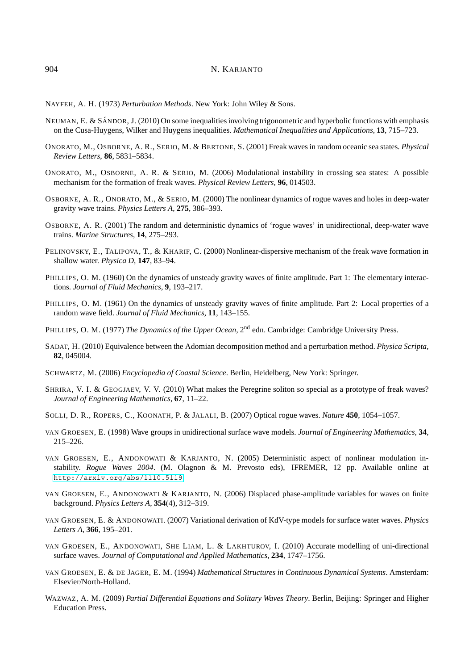<span id="page-11-5"></span>NAYFEH, A. H. (1973) *Perturbation Methods*. New York: John Wiley & Sons.

- <span id="page-11-20"></span>NEUMAN, E. & SÁNDOR, J. (2010) On some inequalities involving trigonometric and hyperbolic functions with emphasis on the Cusa-Huygens, Wilker and Huygens inequalities. *Mathematical Inequalities and Applications*, **13**, 715–723.
- <span id="page-11-12"></span>ONORATO, M., OSBORNE, A. R., SERIO, M. & BERTONE, S. (2001) Freak waves in random oceanic sea states. *Physical Review Letters*, **86**, 5831–5834.
- <span id="page-11-13"></span>ONORATO, M., OSBORNE, A. R. & SERIO, M. (2006) Modulational instability in crossing sea states: A possible mechanism for the formation of freak waves. *Physical Review Letters*, **96**, 014503.
- <span id="page-11-10"></span>OSBORNE, A. R., ONORATO, M., & SERIO, M. (2000) The nonlinear dynamics of rogue waves and holes in deep-water gravity wave trains. *Physics Letters A*, **275**, 386–393.
- <span id="page-11-11"></span>OSBORNE, A. R. (2001) The random and deterministic dynamics of 'rogue waves' in unidirectional, deep-water wave trains. *Marine Structures*, **14**, 275–293.
- <span id="page-11-14"></span>PELINOVSKY, E., TALIPOVA, T., & KHARIF, C. (2000) Nonlinear-dispersive mechanism of the freak wave formation in shallow water. *Physica D*, **147**, 83–94.
- <span id="page-11-3"></span>PHILLIPS, O. M. (1960) On the dynamics of unsteady gravity waves of finite amplitude. Part 1: The elementary interactions. *Journal of Fluid Mechanics*, **9**, 193–217.
- <span id="page-11-4"></span>PHILLIPS, O. M. (1961) On the dynamics of unsteady gravity waves of finite amplitude. Part 2: Local properties of a random wave field. *Journal of Fluid Mechanics*, **11**, 143–155.
- <span id="page-11-18"></span>PHILLIPS, O. M. (1977) *The Dynamics of the Upper Ocean*, 2<sup>nd</sup> edn. Cambridge: Cambridge University Press.
- <span id="page-11-7"></span>SADAT, H. (2010) Equivalence between the Adomian decomposition method and a perturbation method. *Physica Scripta*, **82**, 045004.
- <span id="page-11-19"></span>SCHWARTZ, M. (2006) *Encyclopedia of Coastal Science*. Berlin, Heidelberg, New York: Springer.
- <span id="page-11-16"></span>SHRIRA, V. I. & GEOGJAEV, V. V. (2010) What makes the Peregrine soliton so special as a prototype of freak waves? *Journal of Engineering Mathematics*, **67**, 11–22.
- <span id="page-11-15"></span>SOLLI, D. R., ROPERS, C., KOONATH, P. & JALALI, B. (2007) Optical rogue waves. *Nature* **450**, 1054–1057.
- <span id="page-11-0"></span>VAN GROESEN, E. (1998) Wave groups in unidirectional surface wave models. *Journal of Engineering Mathematics*, **34**, 215–226.
- <span id="page-11-8"></span>VAN GROESEN, E., ANDONOWATI & KARJANTO, N. (2005) Deterministic aspect of nonlinear modulation instability. *Rogue Waves 2004*. (M. Olagnon & M. Prevosto eds), IFREMER, 12 pp. Available online at <http://arxiv.org/abs/1110.5119>.
- <span id="page-11-9"></span>VAN GROESEN, E., ANDONOWATI & KARJANTO, N. (2006) Displaced phase-amplitude variables for waves on finite background. *Physics Letters A*, **354**(4), 312–319.
- <span id="page-11-1"></span>VAN GROESEN, E. & ANDONOWATI. (2007) Variational derivation of KdV-type models for surface water waves. *Physics Letters A*, **366**, 195–201.
- <span id="page-11-2"></span>VAN GROESEN, E., ANDONOWATI, SHE LIAM, L. & LAKHTUROV, I. (2010) Accurate modelling of uni-directional surface waves. *Journal of Computational and Applied Mathematics*, **234**, 1747–1756.
- <span id="page-11-17"></span>VAN GROESEN, E. & DE JAGER, E. M. (1994) *Mathematical Structures in Continuous Dynamical Systems*. Amsterdam: Elsevier/North-Holland.
- <span id="page-11-6"></span>WAZWAZ, A. M. (2009) *Partial Differential Equations and Solitary Waves Theory*. Berlin, Beijing: Springer and Higher Education Press.